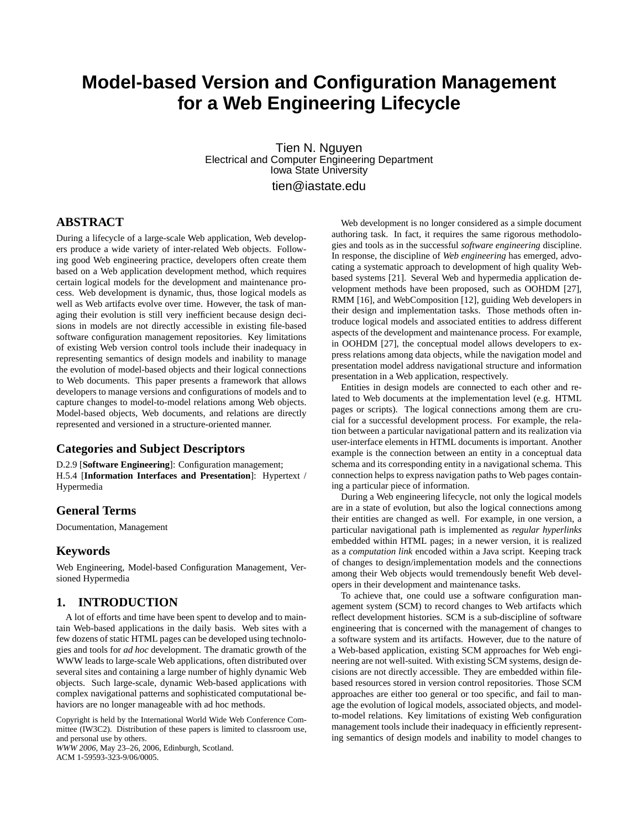# **Model-based Version and Configuration Management for a Web Engineering Lifecycle**

Tien N. Nguyen Electrical and Computer Engineering Department Iowa State University

tien@iastate.edu

# **ABSTRACT**

During a lifecycle of a large-scale Web application, Web developers produce a wide variety of inter-related Web objects. Following good Web engineering practice, developers often create them based on a Web application development method, which requires certain logical models for the development and maintenance process. Web development is dynamic, thus, those logical models as well as Web artifacts evolve over time. However, the task of managing their evolution is still very inefficient because design decisions in models are not directly accessible in existing file-based software configuration management repositories. Key limitations of existing Web version control tools include their inadequacy in representing semantics of design models and inability to manage the evolution of model-based objects and their logical connections to Web documents. This paper presents a framework that allows developers to manage versions and configurations of models and to capture changes to model-to-model relations among Web objects. Model-based objects, Web documents, and relations are directly represented and versioned in a structure-oriented manner.

# **Categories and Subject Descriptors**

D.2.9 [**Software Engineering**]: Configuration management; H.5.4 [**Information Interfaces and Presentation**]: Hypertext / Hypermedia

# **General Terms**

Documentation, Management

#### **Keywords**

Web Engineering, Model-based Configuration Management, Versioned Hypermedia

# **1. INTRODUCTION**

A lot of efforts and time have been spent to develop and to maintain Web-based applications in the daily basis. Web sites with a few dozens of static HTML pages can be developed using technologies and tools for *ad hoc* development. The dramatic growth of the WWW leads to large-scale Web applications, often distributed over several sites and containing a large number of highly dynamic Web objects. Such large-scale, dynamic Web-based applications with complex navigational patterns and sophisticated computational behaviors are no longer manageable with ad hoc methods.

Copyright is held by the International World Wide Web Conference Committee (IW3C2). Distribution of these papers is limited to classroom use, and personal use by others.

*WWW 2006*, May 23–26, 2006, Edinburgh, Scotland. ACM 1-59593-323-9/06/0005.

Web development is no longer considered as a simple document authoring task. In fact, it requires the same rigorous methodologies and tools as in the successful *software engineering* discipline. In response, the discipline of *Web engineering* has emerged, advocating a systematic approach to development of high quality Webbased systems [21]. Several Web and hypermedia application development methods have been proposed, such as OOHDM [27], RMM [16], and WebComposition [12], guiding Web developers in their design and implementation tasks. Those methods often introduce logical models and associated entities to address different aspects of the development and maintenance process. For example, in OOHDM [27], the conceptual model allows developers to express relations among data objects, while the navigation model and presentation model address navigational structure and information presentation in a Web application, respectively.

Entities in design models are connected to each other and related to Web documents at the implementation level (e.g. HTML pages or scripts). The logical connections among them are crucial for a successful development process. For example, the relation between a particular navigational pattern and its realization via user-interface elements in HTML documents is important. Another example is the connection between an entity in a conceptual data schema and its corresponding entity in a navigational schema. This connection helps to express navigation paths to Web pages containing a particular piece of information.

During a Web engineering lifecycle, not only the logical models are in a state of evolution, but also the logical connections among their entities are changed as well. For example, in one version, a particular navigational path is implemented as *regular hyperlinks* embedded within HTML pages; in a newer version, it is realized as a *computation link* encoded within a Java script. Keeping track of changes to design/implementation models and the connections among their Web objects would tremendously benefit Web developers in their development and maintenance tasks.

To achieve that, one could use a software configuration management system (SCM) to record changes to Web artifacts which reflect development histories. SCM is a sub-discipline of software engineering that is concerned with the management of changes to a software system and its artifacts. However, due to the nature of a Web-based application, existing SCM approaches for Web engineering are not well-suited. With existing SCM systems, design decisions are not directly accessible. They are embedded within filebased resources stored in version control repositories. Those SCM approaches are either too general or too specific, and fail to manage the evolution of logical models, associated objects, and modelto-model relations. Key limitations of existing Web configuration management tools include their inadequacy in efficiently representing semantics of design models and inability to model changes to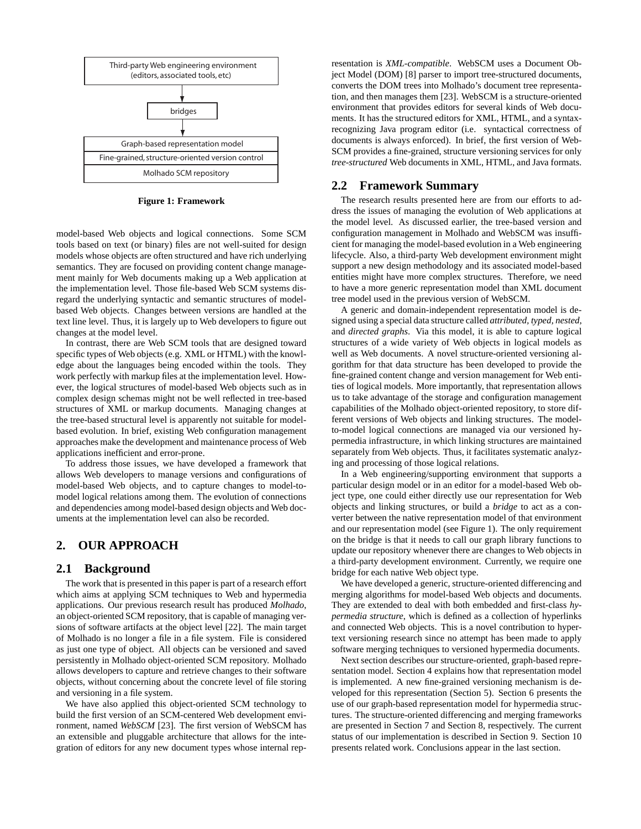

**Figure 1: Framework**

model-based Web objects and logical connections. Some SCM tools based on text (or binary) files are not well-suited for design models whose objects are often structured and have rich underlying semantics. They are focused on providing content change management mainly for Web documents making up a Web application at the implementation level. Those file-based Web SCM systems disregard the underlying syntactic and semantic structures of modelbased Web objects. Changes between versions are handled at the text line level. Thus, it is largely up to Web developers to figure out changes at the model level.

In contrast, there are Web SCM tools that are designed toward specific types of Web objects (e.g. XML or HTML) with the knowledge about the languages being encoded within the tools. They work perfectly with markup files at the implementation level. However, the logical structures of model-based Web objects such as in complex design schemas might not be well reflected in tree-based structures of XML or markup documents. Managing changes at the tree-based structural level is apparently not suitable for modelbased evolution. In brief, existing Web configuration management approaches make the development and maintenance process of Web applications inefficient and error-prone.

To address those issues, we have developed a framework that allows Web developers to manage versions and configurations of model-based Web objects, and to capture changes to model-tomodel logical relations among them. The evolution of connections and dependencies among model-based design objects and Web documents at the implementation level can also be recorded.

# **2. OUR APPROACH**

### **2.1 Background**

The work that is presented in this paper is part of a research effort which aims at applying SCM techniques to Web and hypermedia applications. Our previous research result has produced *Molhado*, an object-oriented SCM repository, that is capable of managing versions of software artifacts at the object level [22]. The main target of Molhado is no longer a file in a file system. File is considered as just one type of object. All objects can be versioned and saved persistently in Molhado object-oriented SCM repository. Molhado allows developers to capture and retrieve changes to their software objects, without concerning about the concrete level of file storing and versioning in a file system.

We have also applied this object-oriented SCM technology to build the first version of an SCM-centered Web development environment, named *WebSCM* [23]. The first version of WebSCM has an extensible and pluggable architecture that allows for the integration of editors for any new document types whose internal representation is *XML-compatible*. WebSCM uses a Document Object Model (DOM) [8] parser to import tree-structured documents, converts the DOM trees into Molhado's document tree representation, and then manages them [23]. WebSCM is a structure-oriented environment that provides editors for several kinds of Web documents. It has the structured editors for XML, HTML, and a syntaxrecognizing Java program editor (i.e. syntactical correctness of documents is always enforced). In brief, the first version of Web-SCM provides a fine-grained, structure versioning services for only *tree-structured* Web documents in XML, HTML, and Java formats.

#### **2.2 Framework Summary**

The research results presented here are from our efforts to address the issues of managing the evolution of Web applications at the model level. As discussed earlier, the tree-based version and configuration management in Molhado and WebSCM was insufficient for managing the model-based evolution in a Web engineering lifecycle. Also, a third-party Web development environment might support a new design methodology and its associated model-based entities might have more complex structures. Therefore, we need to have a more generic representation model than XML document tree model used in the previous version of WebSCM.

A generic and domain-independent representation model is designed using a special data structure called *attributed, typed, nested*, and *directed graphs*. Via this model, it is able to capture logical structures of a wide variety of Web objects in logical models as well as Web documents. A novel structure-oriented versioning algorithm for that data structure has been developed to provide the fine-grained content change and version management for Web entities of logical models. More importantly, that representation allows us to take advantage of the storage and configuration management capabilities of the Molhado object-oriented repository, to store different versions of Web objects and linking structures. The modelto-model logical connections are managed via our versioned hypermedia infrastructure, in which linking structures are maintained separately from Web objects. Thus, it facilitates systematic analyzing and processing of those logical relations.

In a Web engineering/supporting environment that supports a particular design model or in an editor for a model-based Web object type, one could either directly use our representation for Web objects and linking structures, or build a *bridge* to act as a converter between the native representation model of that environment and our representation model (see Figure 1). The only requirement on the bridge is that it needs to call our graph library functions to update our repository whenever there are changes to Web objects in a third-party development environment. Currently, we require one bridge for each native Web object type.

We have developed a generic, structure-oriented differencing and merging algorithms for model-based Web objects and documents. They are extended to deal with both embedded and first-class *hypermedia structure*, which is defined as a collection of hyperlinks and connected Web objects. This is a novel contribution to hypertext versioning research since no attempt has been made to apply software merging techniques to versioned hypermedia documents.

Next section describes our structure-oriented, graph-based representation model. Section 4 explains how that representation model is implemented. A new fine-grained versioning mechanism is developed for this representation (Section 5). Section 6 presents the use of our graph-based representation model for hypermedia structures. The structure-oriented differencing and merging frameworks are presented in Section 7 and Section 8, respectively. The current status of our implementation is described in Section 9. Section 10 presents related work. Conclusions appear in the last section.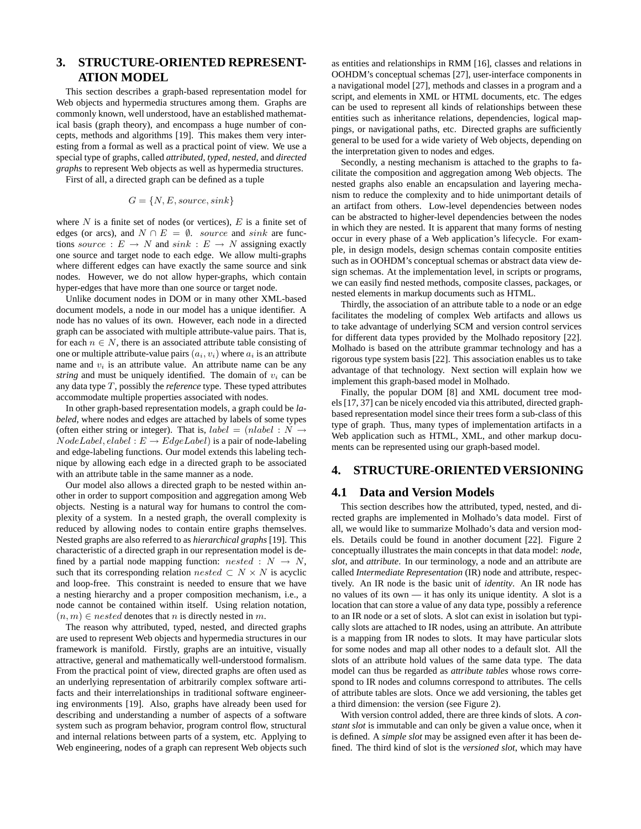# **3. STRUCTURE-ORIENTED REPRESENT-ATION MODEL**

This section describes a graph-based representation model for Web objects and hypermedia structures among them. Graphs are commonly known, well understood, have an established mathematical basis (graph theory), and encompass a huge number of concepts, methods and algorithms [19]. This makes them very interesting from a formal as well as a practical point of view. We use a special type of graphs, called *attributed, typed, nested*, and *directed graphs* to represent Web objects as well as hypermedia structures.

First of all, a directed graph can be defined as a tuple

$$
G = \{N, E, source, sink\}
$$

where  $N$  is a finite set of nodes (or vertices),  $E$  is a finite set of edges (or arcs), and  $N \cap E = \emptyset$ . source and sink are functions source :  $E \rightarrow N$  and sink :  $E \rightarrow N$  assigning exactly one source and target node to each edge. We allow multi-graphs where different edges can have exactly the same source and sink nodes. However, we do not allow hyper-graphs, which contain hyper-edges that have more than one source or target node.

Unlike document nodes in DOM or in many other XML-based document models, a node in our model has a unique identifier. A node has no values of its own. However, each node in a directed graph can be associated with multiple attribute-value pairs. That is, for each  $n \in N$ , there is an associated attribute table consisting of one or multiple attribute-value pairs  $(a_i, v_i)$  where  $a_i$  is an attribute name and  $v_i$  is an attribute value. An attribute name can be any *string* and must be uniquely identified. The domain of  $v_i$  can be any data type T, possibly the *reference* type. These typed attributes accommodate multiple properties associated with nodes.

In other graph-based representation models, a graph could be *labeled*, where nodes and edges are attached by labels of some types (often either string or integer). That is,  $label = (nlabel : N \rightarrow$  $NodeLabel, elabel : E \rightarrow EdgeLabel$  is a pair of node-labeling and edge-labeling functions. Our model extends this labeling technique by allowing each edge in a directed graph to be associated with an attribute table in the same manner as a node.

Our model also allows a directed graph to be nested within another in order to support composition and aggregation among Web objects. Nesting is a natural way for humans to control the complexity of a system. In a nested graph, the overall complexity is reduced by allowing nodes to contain entire graphs themselves. Nested graphs are also referred to as *hierarchical graphs* [19]. This characteristic of a directed graph in our representation model is defined by a partial node mapping function:  $nested : N \rightarrow N$ , such that its corresponding relation nested  $\subset N \times N$  is acyclic and loop-free. This constraint is needed to ensure that we have a nesting hierarchy and a proper composition mechanism, i.e., a node cannot be contained within itself. Using relation notation,  $(n, m) \in nested$  denotes that n is directly nested in m.

The reason why attributed, typed, nested, and directed graphs are used to represent Web objects and hypermedia structures in our framework is manifold. Firstly, graphs are an intuitive, visually attractive, general and mathematically well-understood formalism. From the practical point of view, directed graphs are often used as an underlying representation of arbitrarily complex software artifacts and their interrelationships in traditional software engineering environments [19]. Also, graphs have already been used for describing and understanding a number of aspects of a software system such as program behavior, program control flow, structural and internal relations between parts of a system, etc. Applying to Web engineering, nodes of a graph can represent Web objects such as entities and relationships in RMM [16], classes and relations in OOHDM's conceptual schemas [27], user-interface components in a navigational model [27], methods and classes in a program and a script, and elements in XML or HTML documents, etc. The edges can be used to represent all kinds of relationships between these entities such as inheritance relations, dependencies, logical mappings, or navigational paths, etc. Directed graphs are sufficiently general to be used for a wide variety of Web objects, depending on the interpretation given to nodes and edges.

Secondly, a nesting mechanism is attached to the graphs to facilitate the composition and aggregation among Web objects. The nested graphs also enable an encapsulation and layering mechanism to reduce the complexity and to hide unimportant details of an artifact from others. Low-level dependencies between nodes can be abstracted to higher-level dependencies between the nodes in which they are nested. It is apparent that many forms of nesting occur in every phase of a Web application's lifecycle. For example, in design models, design schemas contain composite entities such as in OOHDM's conceptual schemas or abstract data view design schemas. At the implementation level, in scripts or programs, we can easily find nested methods, composite classes, packages, or nested elements in markup documents such as HTML.

Thirdly, the association of an attribute table to a node or an edge facilitates the modeling of complex Web artifacts and allows us to take advantage of underlying SCM and version control services for different data types provided by the Molhado repository [22]. Molhado is based on the attribute grammar technology and has a rigorous type system basis [22]. This association enables us to take advantage of that technology. Next section will explain how we implement this graph-based model in Molhado.

Finally, the popular DOM [8] and XML document tree models [17, 37] can be nicely encoded via this attributed, directed graphbased representation model since their trees form a sub-class of this type of graph. Thus, many types of implementation artifacts in a Web application such as HTML, XML, and other markup documents can be represented using our graph-based model.

# **4. STRUCTURE-ORIENTED VERSIONING**

#### **4.1 Data and Version Models**

This section describes how the attributed, typed, nested, and directed graphs are implemented in Molhado's data model. First of all, we would like to summarize Molhado's data and version models. Details could be found in another document [22]. Figure 2 conceptually illustrates the main concepts in that data model: *node*, *slot*, and *attribute*. In our terminology, a node and an attribute are called *Intermediate Representation* (IR) node and attribute, respectively. An IR node is the basic unit of *identity*. An IR node has no values of its own — it has only its unique identity. A slot is a location that can store a value of any data type, possibly a reference to an IR node or a set of slots. A slot can exist in isolation but typically slots are attached to IR nodes, using an attribute. An attribute is a mapping from IR nodes to slots. It may have particular slots for some nodes and map all other nodes to a default slot. All the slots of an attribute hold values of the same data type. The data model can thus be regarded as *attribute tables* whose rows correspond to IR nodes and columns correspond to attributes. The cells of attribute tables are slots. Once we add versioning, the tables get a third dimension: the version (see Figure 2).

With version control added, there are three kinds of slots. A *constant slot* is immutable and can only be given a value once, when it is defined. A *simple slot* may be assigned even after it has been defined. The third kind of slot is the *versioned slot*, which may have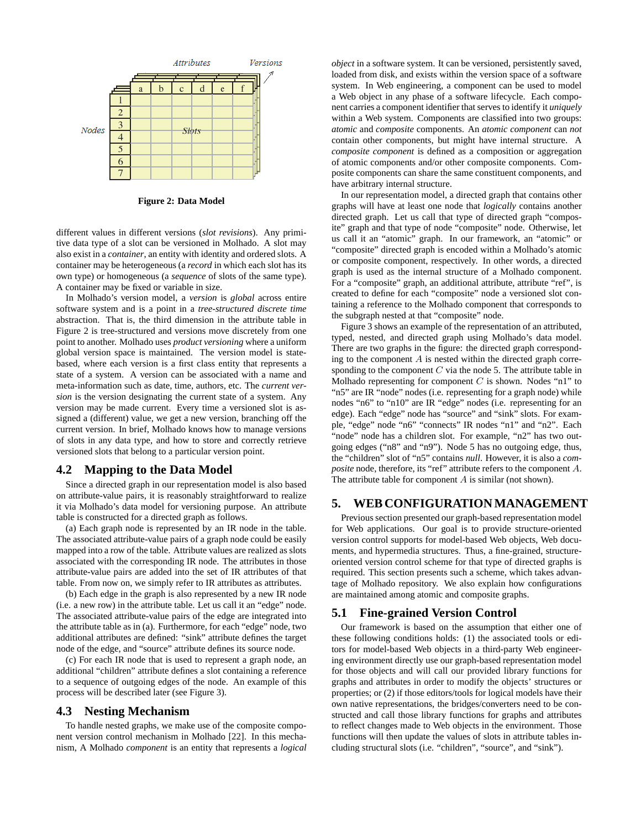

**Figure 2: Data Model**

different values in different versions (*slot revisions*). Any primitive data type of a slot can be versioned in Molhado. A slot may also exist in a *container*, an entity with identity and ordered slots. A container may be heterogeneous (a *record* in which each slot has its own type) or homogeneous (a *sequence* of slots of the same type). A container may be fixed or variable in size.

In Molhado's version model, a *version* is *global* across entire software system and is a point in a *tree-structured discrete time* abstraction. That is, the third dimension in the attribute table in Figure 2 is tree-structured and versions move discretely from one point to another. Molhado uses *product versioning* where a uniform global version space is maintained. The version model is statebased, where each version is a first class entity that represents a state of a system. A version can be associated with a name and meta-information such as date, time, authors, etc. The *current version* is the version designating the current state of a system. Any version may be made current. Every time a versioned slot is assigned a (different) value, we get a new version, branching off the current version. In brief, Molhado knows how to manage versions of slots in any data type, and how to store and correctly retrieve versioned slots that belong to a particular version point.

#### **4.2 Mapping to the Data Model**

Since a directed graph in our representation model is also based on attribute-value pairs, it is reasonably straightforward to realize it via Molhado's data model for versioning purpose. An attribute table is constructed for a directed graph as follows.

(a) Each graph node is represented by an IR node in the table. The associated attribute-value pairs of a graph node could be easily mapped into a row of the table. Attribute values are realized as slots associated with the corresponding IR node. The attributes in those attribute-value pairs are added into the set of IR attributes of that table. From now on, we simply refer to IR attributes as attributes.

(b) Each edge in the graph is also represented by a new IR node (i.e. a new row) in the attribute table. Let us call it an "edge" node. The associated attribute-value pairs of the edge are integrated into the attribute table as in (a). Furthermore, for each "edge" node, two additional attributes are defined: "sink" attribute defines the target node of the edge, and "source" attribute defines its source node.

(c) For each IR node that is used to represent a graph node, an additional "children" attribute defines a slot containing a reference to a sequence of outgoing edges of the node. An example of this process will be described later (see Figure 3).

#### **4.3 Nesting Mechanism**

To handle nested graphs, we make use of the composite component version control mechanism in Molhado [22]. In this mechanism, A Molhado *component* is an entity that represents a *logical* *object* in a software system. It can be versioned, persistently saved, loaded from disk, and exists within the version space of a software system. In Web engineering, a component can be used to model a Web object in any phase of a software lifecycle. Each component carries a component identifier that serves to identify it *uniquely* within a Web system. Components are classified into two groups: *atomic* and *composite* components. An *atomic component* can *not* contain other components, but might have internal structure. A *composite component* is defined as a composition or aggregation of atomic components and/or other composite components. Composite components can share the same constituent components, and have arbitrary internal structure.

In our representation model, a directed graph that contains other graphs will have at least one node that *logically* contains another directed graph. Let us call that type of directed graph "composite" graph and that type of node "composite" node. Otherwise, let us call it an "atomic" graph. In our framework, an "atomic" or "composite" directed graph is encoded within a Molhado's atomic or composite component, respectively. In other words, a directed graph is used as the internal structure of a Molhado component. For a "composite" graph, an additional attribute, attribute "ref", is created to define for each "composite" node a versioned slot containing a reference to the Molhado component that corresponds to the subgraph nested at that "composite" node.

Figure 3 shows an example of the representation of an attributed, typed, nested, and directed graph using Molhado's data model. There are two graphs in the figure: the directed graph corresponding to the component  $A$  is nested within the directed graph corresponding to the component  $C$  via the node 5. The attribute table in Molhado representing for component  $C$  is shown. Nodes "n1" to "n5" are IR "node" nodes (i.e. representing for a graph node) while nodes "n6" to "n10" are IR "edge" nodes (i.e. representing for an edge). Each "edge" node has "source" and "sink" slots. For example, "edge" node "n6" "connects" IR nodes "n1" and "n2". Each "node" node has a children slot. For example, "n2" has two outgoing edges ("n8" and "n9"). Node 5 has no outgoing edge, thus, the "children" slot of "n5" contains *null*. However, it is also a *composite* node, therefore, its "ref" attribute refers to the component A. The attribute table for component A is similar (not shown).

#### **5. WEB CONFIGURATION MANAGEMENT**

Previous section presented our graph-based representation model for Web applications. Our goal is to provide structure-oriented version control supports for model-based Web objects, Web documents, and hypermedia structures. Thus, a fine-grained, structureoriented version control scheme for that type of directed graphs is required. This section presents such a scheme, which takes advantage of Molhado repository. We also explain how configurations are maintained among atomic and composite graphs.

#### **5.1 Fine-grained Version Control**

Our framework is based on the assumption that either one of these following conditions holds: (1) the associated tools or editors for model-based Web objects in a third-party Web engineering environment directly use our graph-based representation model for those objects and will call our provided library functions for graphs and attributes in order to modify the objects' structures or properties; or (2) if those editors/tools for logical models have their own native representations, the bridges/converters need to be constructed and call those library functions for graphs and attributes to reflect changes made to Web objects in the environment. Those functions will then update the values of slots in attribute tables including structural slots (i.e. "children", "source", and "sink").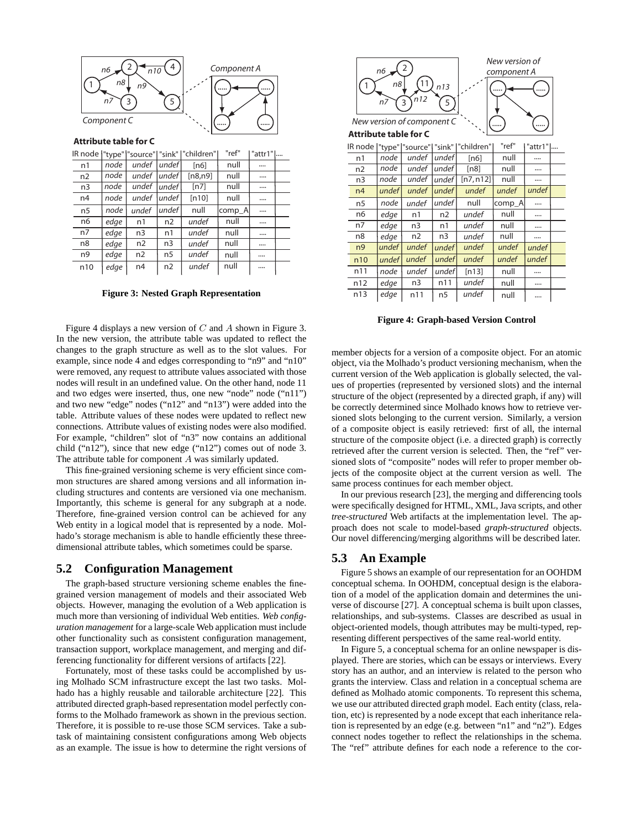

**Attribute table for C**

|                |      |                |                | IR node  "type" "source" "sink" "children" | "ref"  | "attr1"l |  |
|----------------|------|----------------|----------------|--------------------------------------------|--------|----------|--|
| n1             | node | undef          | undef          | [n6]                                       | null   |          |  |
| n2             | node | undef          | lundef         | [n8, n9]                                   | null   |          |  |
| n3             | node | undef          | lundef         | [n7]                                       | null   |          |  |
| n4             | node | undef          | lundef         | [n10]                                      | null   |          |  |
| n <sub>5</sub> | node | undef          | undef          | null                                       | comp_A |          |  |
| n6             | edge | n1             | n <sub>2</sub> | undef                                      | null   |          |  |
| n7             | edge | n3             | n1             | undef                                      | null   |          |  |
| n8             | edge | n <sub>2</sub> | n3             | undef                                      | null   |          |  |
| n9             | edge | n2             | n5             | undef                                      | null   |          |  |
| n10            | edge | n4             | n2             | undef                                      | null   |          |  |

#### **Figure 3: Nested Graph Representation**

Figure 4 displays a new version of  $C$  and  $A$  shown in Figure 3. In the new version, the attribute table was updated to reflect the changes to the graph structure as well as to the slot values. For example, since node 4 and edges corresponding to "n9" and "n10" were removed, any request to attribute values associated with those nodes will result in an undefined value. On the other hand, node 11 and two edges were inserted, thus, one new "node" node ("n11") and two new "edge" nodes ("n12" and "n13") were added into the table. Attribute values of these nodes were updated to reflect new connections. Attribute values of existing nodes were also modified. For example, "children" slot of "n3" now contains an additional child ("n12"), since that new edge ("n12") comes out of node 3. The attribute table for component A was similarly updated.

This fine-grained versioning scheme is very efficient since common structures are shared among versions and all information including structures and contents are versioned via one mechanism. Importantly, this scheme is general for any subgraph at a node. Therefore, fine-grained version control can be achieved for any Web entity in a logical model that is represented by a node. Molhado's storage mechanism is able to handle efficiently these threedimensional attribute tables, which sometimes could be sparse.

#### **5.2 Configuration Management**

The graph-based structure versioning scheme enables the finegrained version management of models and their associated Web objects. However, managing the evolution of a Web application is much more than versioning of individual Web entities. *Web configuration management* for a large-scale Web application must include other functionality such as consistent configuration management, transaction support, workplace management, and merging and differencing functionality for different versions of artifacts [22].

Fortunately, most of these tasks could be accomplished by using Molhado SCM infrastructure except the last two tasks. Molhado has a highly reusable and tailorable architecture [22]. This attributed directed graph-based representation model perfectly conforms to the Molhado framework as shown in the previous section. Therefore, it is possible to re-use those SCM services. Take a subtask of maintaining consistent configurations among Web objects as an example. The issue is how to determine the right versions of



**Figure 4: Graph-based Version Control**

member objects for a version of a composite object. For an atomic object, via the Molhado's product versioning mechanism, when the current version of the Web application is globally selected, the values of properties (represented by versioned slots) and the internal structure of the object (represented by a directed graph, if any) will be correctly determined since Molhado knows how to retrieve versioned slots belonging to the current version. Similarly, a version of a composite object is easily retrieved: first of all, the internal structure of the composite object (i.e. a directed graph) is correctly retrieved after the current version is selected. Then, the "ref" versioned slots of "composite" nodes will refer to proper member objects of the composite object at the current version as well. The same process continues for each member object.

In our previous research [23], the merging and differencing tools were specifically designed for HTML, XML, Java scripts, and other *tree-structured* Web artifacts at the implementation level. The approach does not scale to model-based *graph-structured* objects. Our novel differencing/merging algorithms will be described later.

#### **5.3 An Example**

Figure 5 shows an example of our representation for an OOHDM conceptual schema. In OOHDM, conceptual design is the elaboration of a model of the application domain and determines the universe of discourse [27]. A conceptual schema is built upon classes, relationships, and sub-systems. Classes are described as usual in object-oriented models, though attributes may be multi-typed, representing different perspectives of the same real-world entity.

In Figure 5, a conceptual schema for an online newspaper is displayed. There are stories, which can be essays or interviews. Every story has an author, and an interview is related to the person who grants the interview. Class and relation in a conceptual schema are defined as Molhado atomic components. To represent this schema, we use our attributed directed graph model. Each entity (class, relation, etc) is represented by a node except that each inheritance relation is represented by an edge (e.g. between "n1" and "n2"). Edges connect nodes together to reflect the relationships in the schema. The "ref" attribute defines for each node a reference to the cor-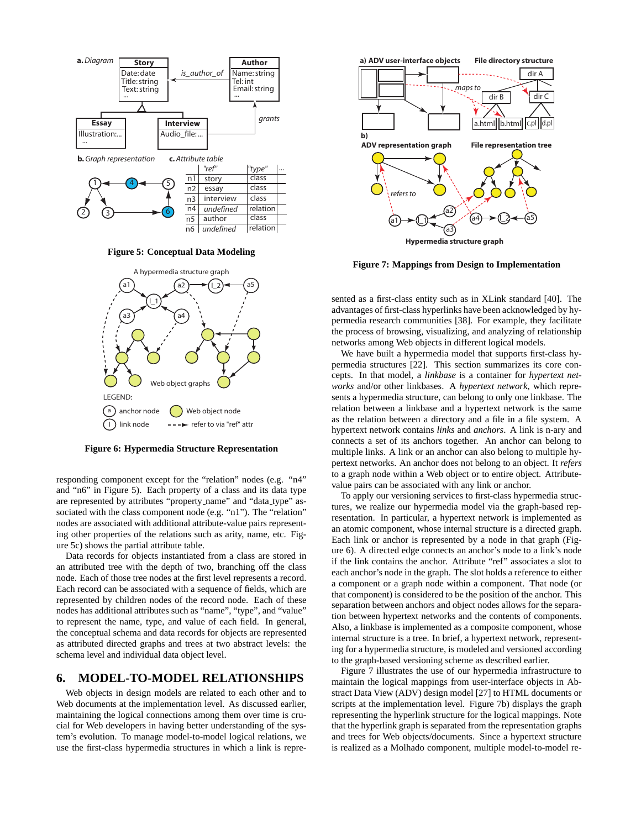

**Figure 5: Conceptual Data Modeling**



**Figure 6: Hypermedia Structure Representation**

responding component except for the "relation" nodes (e.g. "n4" and "n6" in Figure 5). Each property of a class and its data type are represented by attributes "property\_name" and "data\_type" associated with the class component node (e.g. "n1"). The "relation" nodes are associated with additional attribute-value pairs representing other properties of the relations such as arity, name, etc. Figure 5c) shows the partial attribute table.

Data records for objects instantiated from a class are stored in an attributed tree with the depth of two, branching off the class node. Each of those tree nodes at the first level represents a record. Each record can be associated with a sequence of fields, which are represented by children nodes of the record node. Each of these nodes has additional attributes such as "name", "type", and "value" to represent the name, type, and value of each field. In general, the conceptual schema and data records for objects are represented as attributed directed graphs and trees at two abstract levels: the schema level and individual data object level.

# **6. MODEL-TO-MODEL RELATIONSHIPS**

Web objects in design models are related to each other and to Web documents at the implementation level. As discussed earlier, maintaining the logical connections among them over time is crucial for Web developers in having better understanding of the system's evolution. To manage model-to-model logical relations, we use the first-class hypermedia structures in which a link is repre-



**Figure 7: Mappings from Design to Implementation**

sented as a first-class entity such as in XLink standard [40]. The advantages of first-class hyperlinks have been acknowledged by hypermedia research communities [38]. For example, they facilitate the process of browsing, visualizing, and analyzing of relationship networks among Web objects in different logical models.

We have built a hypermedia model that supports first-class hypermedia structures [22]. This section summarizes its core concepts. In that model, a *linkbase* is a container for *hypertext networks* and/or other linkbases. A *hypertext network*, which represents a hypermedia structure, can belong to only one linkbase. The relation between a linkbase and a hypertext network is the same as the relation between a directory and a file in a file system. A hypertext network contains *links* and *anchors*. A link is n-ary and connects a set of its anchors together. An anchor can belong to multiple links. A link or an anchor can also belong to multiple hypertext networks. An anchor does not belong to an object. It *refers* to a graph node within a Web object or to entire object. Attributevalue pairs can be associated with any link or anchor.

To apply our versioning services to first-class hypermedia structures, we realize our hypermedia model via the graph-based representation. In particular, a hypertext network is implemented as an atomic component, whose internal structure is a directed graph. Each link or anchor is represented by a node in that graph (Figure 6). A directed edge connects an anchor's node to a link's node if the link contains the anchor. Attribute "ref" associates a slot to each anchor's node in the graph. The slot holds a reference to either a component or a graph node within a component. That node (or that component) is considered to be the position of the anchor. This separation between anchors and object nodes allows for the separation between hypertext networks and the contents of components. Also, a linkbase is implemented as a composite component, whose internal structure is a tree. In brief, a hypertext network, representing for a hypermedia structure, is modeled and versioned according to the graph-based versioning scheme as described earlier.

Figure 7 illustrates the use of our hypermedia infrastructure to maintain the logical mappings from user-interface objects in Abstract Data View (ADV) design model [27] to HTML documents or scripts at the implementation level. Figure 7b) displays the graph representing the hyperlink structure for the logical mappings. Note that the hyperlink graph is separated from the representation graphs and trees for Web objects/documents. Since a hypertext structure is realized as a Molhado component, multiple model-to-model re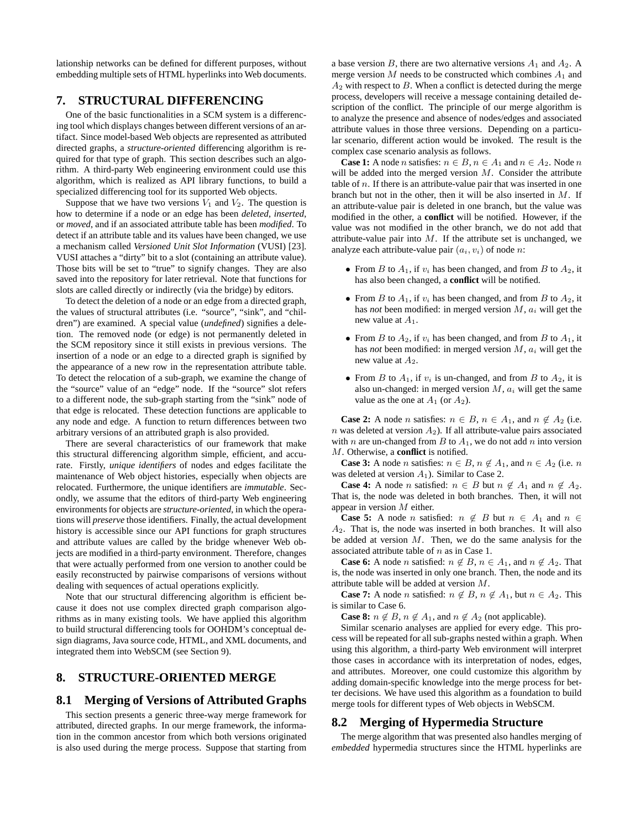lationship networks can be defined for different purposes, without embedding multiple sets of HTML hyperlinks into Web documents.

# **7. STRUCTURAL DIFFERENCING**

One of the basic functionalities in a SCM system is a differencing tool which displays changes between different versions of an artifact. Since model-based Web objects are represented as attributed directed graphs, a *structure-oriented* differencing algorithm is required for that type of graph. This section describes such an algorithm. A third-party Web engineering environment could use this algorithm, which is realized as API library functions, to build a specialized differencing tool for its supported Web objects.

Suppose that we have two versions  $V_1$  and  $V_2$ . The question is how to determine if a node or an edge has been *deleted*, *inserted*, or *moved*, and if an associated attribute table has been *modified*. To detect if an attribute table and its values have been changed, we use a mechanism called *Versioned Unit Slot Information* (VUSI) [23]. VUSI attaches a "dirty" bit to a slot (containing an attribute value). Those bits will be set to "true" to signify changes. They are also saved into the repository for later retrieval. Note that functions for slots are called directly or indirectly (via the bridge) by editors.

To detect the deletion of a node or an edge from a directed graph, the values of structural attributes (i.e. "source", "sink", and "children") are examined. A special value (*undefined*) signifies a deletion. The removed node (or edge) is not permanently deleted in the SCM repository since it still exists in previous versions. The insertion of a node or an edge to a directed graph is signified by the appearance of a new row in the representation attribute table. To detect the relocation of a sub-graph, we examine the change of the "source" value of an "edge" node. If the "source" slot refers to a different node, the sub-graph starting from the "sink" node of that edge is relocated. These detection functions are applicable to any node and edge. A function to return differences between two arbitrary versions of an attributed graph is also provided.

There are several characteristics of our framework that make this structural differencing algorithm simple, efficient, and accurate. Firstly, *unique identifiers* of nodes and edges facilitate the maintenance of Web object histories, especially when objects are relocated. Furthermore, the unique identifiers are *immutable*. Secondly, we assume that the editors of third-party Web engineering environments for objects are *structure-oriented*, in which the operations will *preserve* those identifiers. Finally, the actual development history is accessible since our API functions for graph structures and attribute values are called by the bridge whenever Web objects are modified in a third-party environment. Therefore, changes that were actually performed from one version to another could be easily reconstructed by pairwise comparisons of versions without dealing with sequences of actual operations explicitly.

Note that our structural differencing algorithm is efficient because it does not use complex directed graph comparison algorithms as in many existing tools. We have applied this algorithm to build structural differencing tools for OOHDM's conceptual design diagrams, Java source code, HTML, and XML documents, and integrated them into WebSCM (see Section 9).

#### **8. STRUCTURE-ORIENTED MERGE**

#### **8.1 Merging of Versions of Attributed Graphs**

This section presents a generic three-way merge framework for attributed, directed graphs. In our merge framework, the information in the common ancestor from which both versions originated is also used during the merge process. Suppose that starting from a base version B, there are two alternative versions  $A_1$  and  $A_2$ . A merge version  $M$  needs to be constructed which combines  $A_1$  and  $A_2$  with respect to  $B$ . When a conflict is detected during the merge process, developers will receive a message containing detailed description of the conflict. The principle of our merge algorithm is to analyze the presence and absence of nodes/edges and associated attribute values in those three versions. Depending on a particular scenario, different action would be invoked. The result is the complex case scenario analysis as follows.

**Case 1:** A node *n* satisfies:  $n \in B$ ,  $n \in A_1$  and  $n \in A_2$ . Node *n* will be added into the merged version  $M$ . Consider the attribute table of  $n$ . If there is an attribute-value pair that was inserted in one branch but not in the other, then it will be also inserted in  $M$ . If an attribute-value pair is deleted in one branch, but the value was modified in the other, a **conflict** will be notified. However, if the value was not modified in the other branch, we do not add that attribute-value pair into  $M$ . If the attribute set is unchanged, we analyze each attribute-value pair  $(a_i, v_i)$  of node n:

- From B to  $A_1$ , if  $v_i$  has been changed, and from B to  $A_2$ , it has also been changed, a **conflict** will be notified.
- From B to  $A_1$ , if  $v_i$  has been changed, and from B to  $A_2$ , it has *not* been modified: in merged version  $M$ ,  $a_i$  will get the new value at  $A_1$ .
- From B to  $A_2$ , if  $v_i$  has been changed, and from B to  $A_1$ , it has *not* been modified: in merged version  $M$ ,  $a_i$  will get the new value at  $A_2$ .
- From B to  $A_1$ , if  $v_i$  is un-changed, and from B to  $A_2$ , it is also un-changed: in merged version  $M$ ,  $a_i$  will get the same value as the one at  $A_1$  (or  $A_2$ ).

**Case 2:** A node *n* satisfies:  $n \in B$ ,  $n \in A_1$ , and  $n \notin A_2$  (i.e.  $n$  was deleted at version  $A_2$ ). If all attribute-value pairs associated with *n* are un-changed from *B* to  $A_1$ , we do not add *n* into version M. Otherwise, a **conflict** is notified.

**Case 3:** A node *n* satisfies:  $n \in B$ ,  $n \notin A_1$ , and  $n \in A_2$  (i.e. *n*) was deleted at version  $A_1$ ). Similar to Case 2.

**Case 4:** A node *n* satisfied:  $n \in B$  but  $n \notin A_1$  and  $n \notin A_2$ . That is, the node was deleted in both branches. Then, it will not appear in version M either.

**Case 5:** A node *n* satisfied:  $n \notin B$  but  $n \in A_1$  and  $n \in A_2$  $A<sub>2</sub>$ . That is, the node was inserted in both branches. It will also be added at version  $M$ . Then, we do the same analysis for the associated attribute table of  $n$  as in Case 1.

**Case 6:** A node *n* satisfied:  $n \notin B$ ,  $n \in A_1$ , and  $n \notin A_2$ . That is, the node was inserted in only one branch. Then, the node and its attribute table will be added at version M.

**Case 7:** A node *n* satisfied:  $n \notin B$ ,  $n \notin A_1$ , but  $n \in A_2$ . This is similar to Case 6.

**Case 8:**  $n \notin B$ ,  $n \notin A_1$ , and  $n \notin A_2$  (not applicable).

Similar scenario analyses are applied for every edge. This process will be repeated for all sub-graphs nested within a graph. When using this algorithm, a third-party Web environment will interpret those cases in accordance with its interpretation of nodes, edges, and attributes. Moreover, one could customize this algorithm by adding domain-specific knowledge into the merge process for better decisions. We have used this algorithm as a foundation to build merge tools for different types of Web objects in WebSCM.

#### **8.2 Merging of Hypermedia Structure**

The merge algorithm that was presented also handles merging of *embedded* hypermedia structures since the HTML hyperlinks are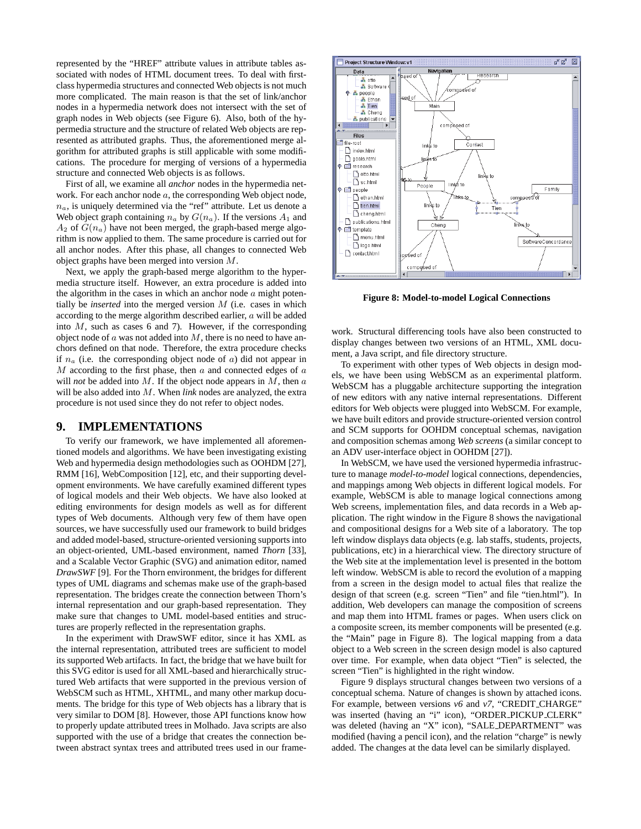represented by the "HREF" attribute values in attribute tables associated with nodes of HTML document trees. To deal with firstclass hypermedia structures and connected Web objects is not much more complicated. The main reason is that the set of link/anchor nodes in a hypermedia network does not intersect with the set of graph nodes in Web objects (see Figure 6). Also, both of the hypermedia structure and the structure of related Web objects are represented as attributed graphs. Thus, the aforementioned merge algorithm for attributed graphs is still applicable with some modifications. The procedure for merging of versions of a hypermedia structure and connected Web objects is as follows.

First of all, we examine all *anchor* nodes in the hypermedia network. For each anchor node  $a$ , the corresponding Web object node,  $n_a$ , is uniquely determined via the "ref" attribute. Let us denote a Web object graph containing  $n_a$  by  $G(n_a)$ . If the versions  $A_1$  and  $A_2$  of  $G(n_a)$  have not been merged, the graph-based merge algorithm is now applied to them. The same procedure is carried out for all anchor nodes. After this phase, all changes to connected Web object graphs have been merged into version M.

Next, we apply the graph-based merge algorithm to the hypermedia structure itself. However, an extra procedure is added into the algorithm in the cases in which an anchor node  $a$  might potentially be *inserted* into the merged version M (i.e. cases in which according to the merge algorithm described earlier, a will be added into  $M$ , such as cases 6 and 7). However, if the corresponding object node of  $\alpha$  was not added into  $M$ , there is no need to have anchors defined on that node. Therefore, the extra procedure checks if  $n_a$  (i.e. the corresponding object node of a) did not appear in  $M$  according to the first phase, then  $a$  and connected edges of  $a$ will *not* be added into  $M$ . If the object node appears in  $M$ , then  $a$ will be also added into M. When *link* nodes are analyzed, the extra procedure is not used since they do not refer to object nodes.

#### **9. IMPLEMENTATIONS**

To verify our framework, we have implemented all aforementioned models and algorithms. We have been investigating existing Web and hypermedia design methodologies such as OOHDM [27], RMM [16], WebComposition [12], etc, and their supporting development environments. We have carefully examined different types of logical models and their Web objects. We have also looked at editing environments for design models as well as for different types of Web documents. Although very few of them have open sources, we have successfully used our framework to build bridges and added model-based, structure-oriented versioning supports into an object-oriented, UML-based environment, named *Thorn* [33], and a Scalable Vector Graphic (SVG) and animation editor, named *DrawSWF* [9]. For the Thorn environment, the bridges for different types of UML diagrams and schemas make use of the graph-based representation. The bridges create the connection between Thorn's internal representation and our graph-based representation. They make sure that changes to UML model-based entities and structures are properly reflected in the representation graphs.

In the experiment with DrawSWF editor, since it has XML as the internal representation, attributed trees are sufficient to model its supported Web artifacts. In fact, the bridge that we have built for this SVG editor is used for all XML-based and hierarchically structured Web artifacts that were supported in the previous version of WebSCM such as HTML, XHTML, and many other markup documents. The bridge for this type of Web objects has a library that is very similar to DOM [8]. However, those API functions know how to properly update attributed trees in Molhado. Java scripts are also supported with the use of a bridge that creates the connection between abstract syntax trees and attributed trees used in our frame-



**Figure 8: Model-to-model Logical Connections**

work. Structural differencing tools have also been constructed to display changes between two versions of an HTML, XML document, a Java script, and file directory structure.

To experiment with other types of Web objects in design models, we have been using WebSCM as an experimental platform. WebSCM has a pluggable architecture supporting the integration of new editors with any native internal representations. Different editors for Web objects were plugged into WebSCM. For example, we have built editors and provide structure-oriented version control and SCM supports for OOHDM conceptual schemas, navigation and composition schemas among *Web screens* (a similar concept to an ADV user-interface object in OOHDM [27]).

In WebSCM, we have used the versioned hypermedia infrastructure to manage *model-to-model* logical connections, dependencies, and mappings among Web objects in different logical models. For example, WebSCM is able to manage logical connections among Web screens, implementation files, and data records in a Web application. The right window in the Figure 8 shows the navigational and compositional designs for a Web site of a laboratory. The top left window displays data objects (e.g. lab staffs, students, projects, publications, etc) in a hierarchical view. The directory structure of the Web site at the implementation level is presented in the bottom left window. WebSCM is able to record the evolution of a mapping from a screen in the design model to actual files that realize the design of that screen (e.g. screen "Tien" and file "tien.html"). In addition, Web developers can manage the composition of screens and map them into HTML frames or pages. When users click on a composite screen, its member components will be presented (e.g. the "Main" page in Figure 8). The logical mapping from a data object to a Web screen in the screen design model is also captured over time. For example, when data object "Tien" is selected, the screen "Tien" is highlighted in the right window.

Figure 9 displays structural changes between two versions of a conceptual schema. Nature of changes is shown by attached icons. For example, between versions *v6* and *v7*, "CREDIT CHARGE" was inserted (having an "i" icon), "ORDER PICKUP CLERK" was deleted (having an "X" icon), "SALE DEPARTMENT" was modified (having a pencil icon), and the relation "charge" is newly added. The changes at the data level can be similarly displayed.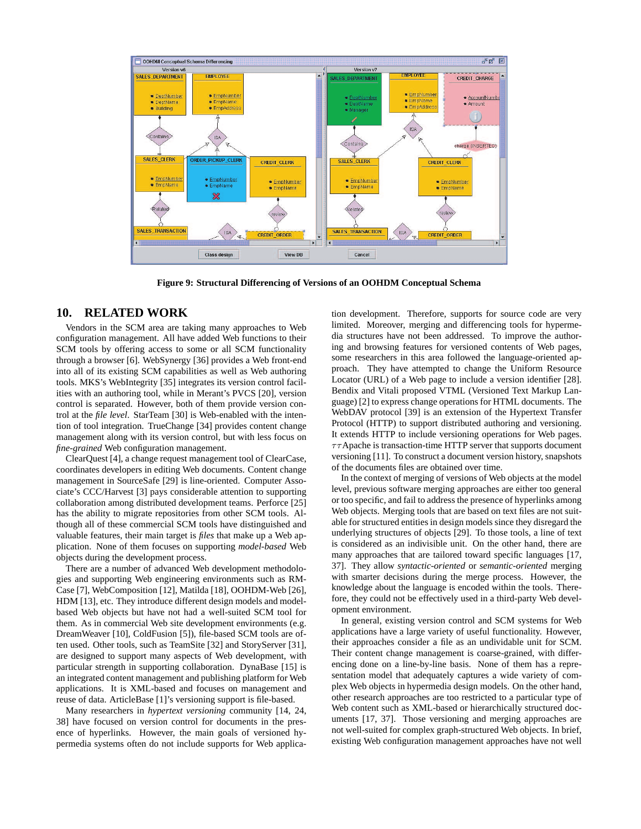

**Figure 9: Structural Differencing of Versions of an OOHDM Conceptual Schema**

#### **10. RELATED WORK**

Vendors in the SCM area are taking many approaches to Web configuration management. All have added Web functions to their SCM tools by offering access to some or all SCM functionality through a browser [6]. WebSynergy [36] provides a Web front-end into all of its existing SCM capabilities as well as Web authoring tools. MKS's WebIntegrity [35] integrates its version control facilities with an authoring tool, while in Merant's PVCS [20], version control is separated. However, both of them provide version control at the *file level*. StarTeam [30] is Web-enabled with the intention of tool integration. TrueChange [34] provides content change management along with its version control, but with less focus on *fine-grained* Web configuration management.

ClearQuest [4], a change request management tool of ClearCase, coordinates developers in editing Web documents. Content change management in SourceSafe [29] is line-oriented. Computer Associate's CCC/Harvest [3] pays considerable attention to supporting collaboration among distributed development teams. Perforce [25] has the ability to migrate repositories from other SCM tools. Although all of these commercial SCM tools have distinguished and valuable features, their main target is *files* that make up a Web application. None of them focuses on supporting *model-based* Web objects during the development process.

There are a number of advanced Web development methodologies and supporting Web engineering environments such as RM-Case [7], WebComposition [12], Matilda [18], OOHDM-Web [26], HDM [13], etc. They introduce different design models and modelbased Web objects but have not had a well-suited SCM tool for them. As in commercial Web site development environments (e.g. DreamWeaver [10], ColdFusion [5]), file-based SCM tools are often used. Other tools, such as TeamSite [32] and StoryServer [31], are designed to support many aspects of Web development, with particular strength in supporting collaboration. DynaBase [15] is an integrated content management and publishing platform for Web applications. It is XML-based and focuses on management and reuse of data. ArticleBase [1]'s versioning support is file-based.

Many researchers in *hypertext versioning* community [14, 24, 38] have focused on version control for documents in the presence of hyperlinks. However, the main goals of versioned hypermedia systems often do not include supports for Web application development. Therefore, supports for source code are very limited. Moreover, merging and differencing tools for hypermedia structures have not been addressed. To improve the authoring and browsing features for versioned contents of Web pages, some researchers in this area followed the language-oriented approach. They have attempted to change the Uniform Resource Locator (URL) of a Web page to include a version identifier [28]. Bendix and Vitali proposed VTML (Versioned Text Markup Language) [2] to express change operations for HTML documents. The WebDAV protocol [39] is an extension of the Hypertext Transfer Protocol (HTTP) to support distributed authoring and versioning. It extends HTTP to include versioning operations for Web pages.  $\tau\tau$ Apache is transaction-time HTTP server that supports document versioning [11]. To construct a document version history, snapshots of the documents files are obtained over time.

In the context of merging of versions of Web objects at the model level, previous software merging approaches are either too general or too specific, and fail to address the presence of hyperlinks among Web objects. Merging tools that are based on text files are not suitable for structured entities in design models since they disregard the underlying structures of objects [29]. To those tools, a line of text is considered as an indivisible unit. On the other hand, there are many approaches that are tailored toward specific languages [17, 37]. They allow *syntactic-oriented* or *semantic-oriented* merging with smarter decisions during the merge process. However, the knowledge about the language is encoded within the tools. Therefore, they could not be effectively used in a third-party Web development environment.

In general, existing version control and SCM systems for Web applications have a large variety of useful functionality. However, their approaches consider a file as an undividable unit for SCM. Their content change management is coarse-grained, with differencing done on a line-by-line basis. None of them has a representation model that adequately captures a wide variety of complex Web objects in hypermedia design models. On the other hand, other research approaches are too restricted to a particular type of Web content such as XML-based or hierarchically structured documents [17, 37]. Those versioning and merging approaches are not well-suited for complex graph-structured Web objects. In brief, existing Web configuration management approaches have not well